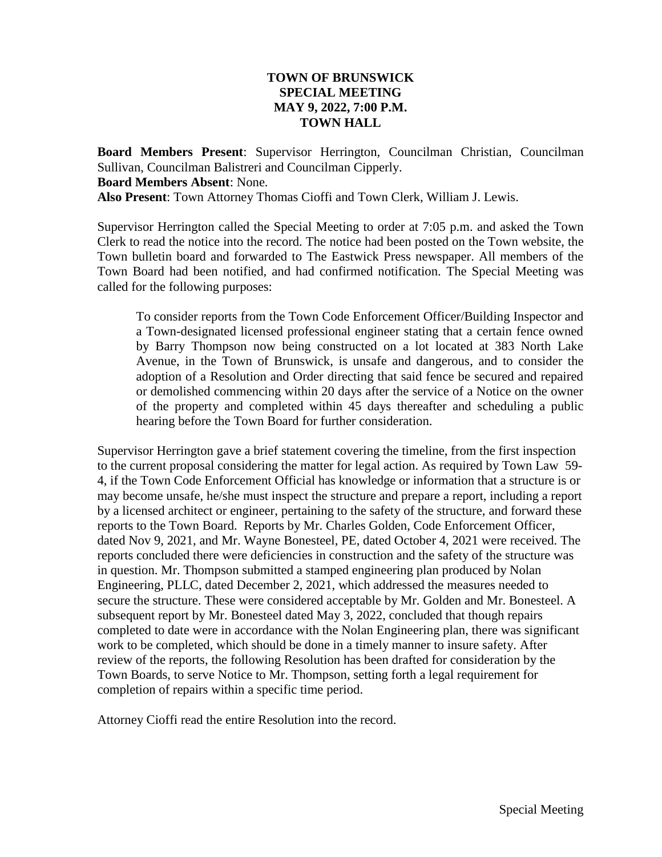## **TOWN OF BRUNSWICK SPECIAL MEETING MAY 9, 2022, 7:00 P.M. TOWN HALL**

**Board Members Present**: Supervisor Herrington, Councilman Christian, Councilman Sullivan, Councilman Balistreri and Councilman Cipperly. **Board Members Absent**: None. **Also Present**: Town Attorney Thomas Cioffi and Town Clerk, William J. Lewis.

Supervisor Herrington called the Special Meeting to order at 7:05 p.m. and asked the Town Clerk to read the notice into the record. The notice had been posted on the Town website, the Town bulletin board and forwarded to The Eastwick Press newspaper. All members of the Town Board had been notified, and had confirmed notification. The Special Meeting was called for the following purposes:

To consider reports from the Town Code Enforcement Officer/Building Inspector and a Town-designated licensed professional engineer stating that a certain fence owned by Barry Thompson now being constructed on a lot located at 383 North Lake Avenue, in the Town of Brunswick, is unsafe and dangerous, and to consider the adoption of a Resolution and Order directing that said fence be secured and repaired or demolished commencing within 20 days after the service of a Notice on the owner of the property and completed within 45 days thereafter and scheduling a public hearing before the Town Board for further consideration.

Supervisor Herrington gave a brief statement covering the timeline, from the first inspection to the current proposal considering the matter for legal action. As required by Town Law 59- 4, if the Town Code Enforcement Official has knowledge or information that a structure is or may become unsafe, he/she must inspect the structure and prepare a report, including a report by a licensed architect or engineer, pertaining to the safety of the structure, and forward these reports to the Town Board. Reports by Mr. Charles Golden, Code Enforcement Officer, dated Nov 9, 2021, and Mr. Wayne Bonesteel, PE, dated October 4, 2021 were received. The reports concluded there were deficiencies in construction and the safety of the structure was in question. Mr. Thompson submitted a stamped engineering plan produced by Nolan Engineering, PLLC, dated December 2, 2021, which addressed the measures needed to secure the structure. These were considered acceptable by Mr. Golden and Mr. Bonesteel. A subsequent report by Mr. Bonesteel dated May 3, 2022, concluded that though repairs completed to date were in accordance with the Nolan Engineering plan, there was significant work to be completed, which should be done in a timely manner to insure safety. After review of the reports, the following Resolution has been drafted for consideration by the Town Boards, to serve Notice to Mr. Thompson, setting forth a legal requirement for completion of repairs within a specific time period.

Attorney Cioffi read the entire Resolution into the record.